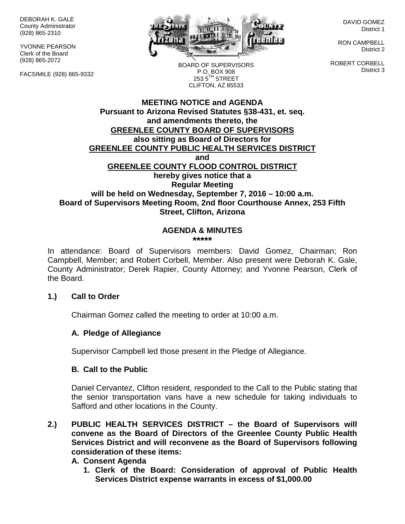DEBORAH K. GALE County Administrator (928) 865-2310

YVONNE PEARSON Clerk of the Board (928) 865-2072

FACSIMILE (928) 865-9332



DAVID GOMEZ District 1

RON CAMPBELL District 2

ROBERT CORBELL District 3

BOARD OF SUPERVISORS P.O. BOX 908  $253.5$ <sup>TH</sup> STREET CLIFTON, AZ 85533

### **MEETING NOTICE and AGENDA Pursuant to Arizona Revised Statutes §38-431, et. seq. and amendments thereto, the GREENLEE COUNTY BOARD OF SUPERVISORS also sitting as Board of Directors for GREENLEE COUNTY PUBLIC HEALTH SERVICES DISTRICT and GREENLEE COUNTY FLOOD CONTROL DISTRICT hereby gives notice that a Regular Meeting will be held on Wednesday, September 7, 2016 – 10:00 a.m. Board of Supervisors Meeting Room, 2nd floor Courthouse Annex, 253 Fifth Street, Clifton, Arizona**

#### **AGENDA & MINUTES \*\*\*\*\***

In attendance: Board of Supervisors members: David Gomez, Chairman; Ron Campbell, Member; and Robert Corbell, Member. Also present were Deborah K. Gale, County Administrator; Derek Rapier, County Attorney; and Yvonne Pearson, Clerk of the Board.

### **1.) Call to Order**

Chairman Gomez called the meeting to order at 10:00 a.m.

### **A. Pledge of Allegiance**

Supervisor Campbell led those present in the Pledge of Allegiance.

#### **B. Call to the Public**

Daniel Cervantez, Clifton resident, responded to the Call to the Public stating that the senior transportation vans have a new schedule for taking individuals to Safford and other locations in the County.

**2.) PUBLIC HEALTH SERVICES DISTRICT – the Board of Supervisors will convene as the Board of Directors of the Greenlee County Public Health Services District and will reconvene as the Board of Supervisors following consideration of these items:**

### **A. Consent Agenda**

**1. Clerk of the Board: Consideration of approval of Public Health Services District expense warrants in excess of \$1,000.00**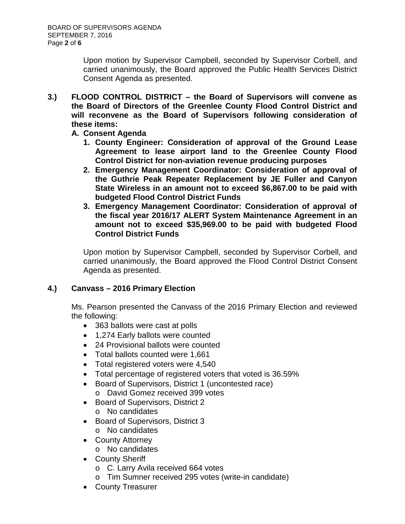Upon motion by Supervisor Campbell, seconded by Supervisor Corbell, and carried unanimously, the Board approved the Public Health Services District Consent Agenda as presented.

- **3.) FLOOD CONTROL DISTRICT – the Board of Supervisors will convene as the Board of Directors of the Greenlee County Flood Control District and will reconvene as the Board of Supervisors following consideration of these items:**
	- **A. Consent Agenda**
		- **1. County Engineer: Consideration of approval of the Ground Lease Agreement to lease airport land to the Greenlee County Flood Control District for non-aviation revenue producing purposes**
		- **2. Emergency Management Coordinator: Consideration of approval of the Guthrie Peak Repeater Replacement by JE Fuller and Canyon State Wireless in an amount not to exceed \$6,867.00 to be paid with budgeted Flood Control District Funds**
		- **3. Emergency Management Coordinator: Consideration of approval of the fiscal year 2016/17 ALERT System Maintenance Agreement in an amount not to exceed \$35,969.00 to be paid with budgeted Flood Control District Funds**

Upon motion by Supervisor Campbell, seconded by Supervisor Corbell, and carried unanimously, the Board approved the Flood Control District Consent Agenda as presented.

# **4.) Canvass – 2016 Primary Election**

Ms. Pearson presented the Canvass of the 2016 Primary Election and reviewed the following:

- 363 ballots were cast at polls
- 1,274 Early ballots were counted
- 24 Provisional ballots were counted
- Total ballots counted were 1,661
- Total registered voters were 4,540
- Total percentage of registered voters that voted is 36.59%
- Board of Supervisors, District 1 (uncontested race) o David Gomez received 399 votes
- Board of Supervisors, District 2 o No candidates
- Board of Supervisors, District 3
	- o No candidates
- County Attorney
	- o No candidates
- County Sheriff
	- o C. Larry Avila received 664 votes
	- o Tim Sumner received 295 votes (write-in candidate)
- County Treasurer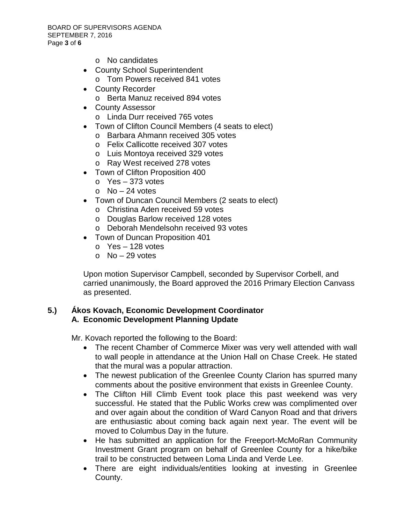- o No candidates
- County School Superintendent o Tom Powers received 841 votes
- County Recorder
	- o Berta Manuz received 894 votes
- County Assessor
	- o Linda Durr received 765 votes
- Town of Clifton Council Members (4 seats to elect)
	- o Barbara Ahmann received 305 votes
	- o Felix Callicotte received 307 votes
	- o Luis Montoya received 329 votes
	- o Ray West received 278 votes
- Town of Clifton Proposition 400
	- o Yes 373 votes
		- $\circ$  No 24 votes
- Town of Duncan Council Members (2 seats to elect)
	- o Christina Aden received 59 votes
	- o Douglas Barlow received 128 votes
	- o Deborah Mendelsohn received 93 votes
- Town of Duncan Proposition 401
	- $\circ$  Yes 128 votes
	- $\circ$  No 29 votes

Upon motion Supervisor Campbell, seconded by Supervisor Corbell, and carried unanimously, the Board approved the 2016 Primary Election Canvass as presented.

## **5.) Ákos Kovach, Economic Development Coordinator A. Economic Development Planning Update**

Mr. Kovach reported the following to the Board:

- The recent Chamber of Commerce Mixer was very well attended with wall to wall people in attendance at the Union Hall on Chase Creek. He stated that the mural was a popular attraction.
- The newest publication of the Greenlee County Clarion has spurred many comments about the positive environment that exists in Greenlee County.
- The Clifton Hill Climb Event took place this past weekend was very successful. He stated that the Public Works crew was complimented over and over again about the condition of Ward Canyon Road and that drivers are enthusiastic about coming back again next year. The event will be moved to Columbus Day in the future.
- He has submitted an application for the Freeport-McMoRan Community Investment Grant program on behalf of Greenlee County for a hike/bike trail to be constructed between Loma Linda and Verde Lee.
- There are eight individuals/entities looking at investing in Greenlee County.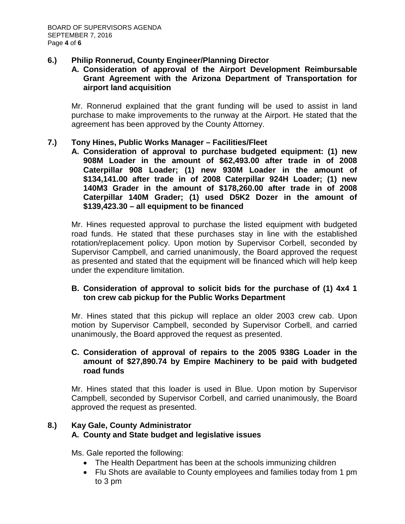## **6.) Philip Ronnerud, County Engineer/Planning Director**

## **A. Consideration of approval of the Airport Development Reimbursable Grant Agreement with the Arizona Department of Transportation for airport land acquisition**

Mr. Ronnerud explained that the grant funding will be used to assist in land purchase to make improvements to the runway at the Airport. He stated that the agreement has been approved by the County Attorney.

### **7.) Tony Hines, Public Works Manager – Facilities/Fleet**

**A. Consideration of approval to purchase budgeted equipment: (1) new 908M Loader in the amount of \$62,493.00 after trade in of 2008 Caterpillar 908 Loader; (1) new 930M Loader in the amount of \$134,141.00 after trade in of 2008 Caterpillar 924H Loader; (1) new 140M3 Grader in the amount of \$178,260.00 after trade in of 2008 Caterpillar 140M Grader; (1) used D5K2 Dozer in the amount of \$139,423.30 – all equipment to be financed**

Mr. Hines requested approval to purchase the listed equipment with budgeted road funds. He stated that these purchases stay in line with the established rotation/replacement policy. Upon motion by Supervisor Corbell, seconded by Supervisor Campbell, and carried unanimously, the Board approved the request as presented and stated that the equipment will be financed which will help keep under the expenditure limitation.

### **B. Consideration of approval to solicit bids for the purchase of (1) 4x4 1 ton crew cab pickup for the Public Works Department**

Mr. Hines stated that this pickup will replace an older 2003 crew cab. Upon motion by Supervisor Campbell, seconded by Supervisor Corbell, and carried unanimously, the Board approved the request as presented.

### **C. Consideration of approval of repairs to the 2005 938G Loader in the amount of \$27,890.74 by Empire Machinery to be paid with budgeted road funds**

Mr. Hines stated that this loader is used in Blue. Upon motion by Supervisor Campbell, seconded by Supervisor Corbell, and carried unanimously, the Board approved the request as presented.

## **8.) Kay Gale, County Administrator A. County and State budget and legislative issues**

Ms. Gale reported the following:

- The Health Department has been at the schools immunizing children
- Flu Shots are available to County employees and families today from 1 pm to 3 pm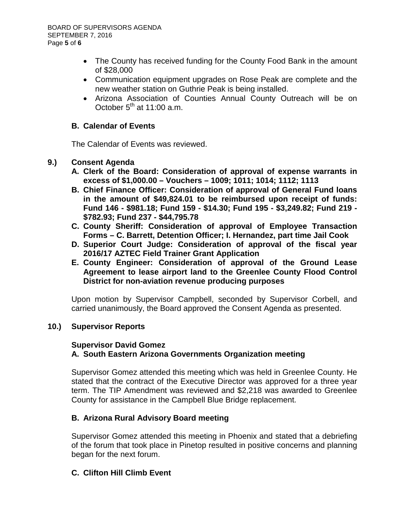- The County has received funding for the County Food Bank in the amount of \$28,000
- Communication equipment upgrades on Rose Peak are complete and the new weather station on Guthrie Peak is being installed.
- Arizona Association of Counties Annual County Outreach will be on October  $5<sup>th</sup>$  at 11:00 a.m.

## **B. Calendar of Events**

The Calendar of Events was reviewed.

### **9.) Consent Agenda**

- **A. Clerk of the Board: Consideration of approval of expense warrants in excess of \$1,000.00 – Vouchers – 1009; 1011; 1014; 1112; 1113**
- **B. Chief Finance Officer: Consideration of approval of General Fund loans in the amount of \$49,824.01 to be reimbursed upon receipt of funds: Fund 146 - \$981.18; Fund 159 - \$14.30; Fund 195 - \$3,249.82; Fund 219 - \$782.93; Fund 237 - \$44,795.78**
- **C. County Sheriff: Consideration of approval of Employee Transaction Forms – C. Barrett, Detention Officer; I. Hernandez, part time Jail Cook**
- **D. Superior Court Judge: Consideration of approval of the fiscal year 2016/17 AZTEC Field Trainer Grant Application**
- **E. County Engineer: Consideration of approval of the Ground Lease Agreement to lease airport land to the Greenlee County Flood Control District for non-aviation revenue producing purposes**

Upon motion by Supervisor Campbell, seconded by Supervisor Corbell, and carried unanimously, the Board approved the Consent Agenda as presented.

### **10.) Supervisor Reports**

### **Supervisor David Gomez A. South Eastern Arizona Governments Organization meeting**

Supervisor Gomez attended this meeting which was held in Greenlee County. He stated that the contract of the Executive Director was approved for a three year term. The TIP Amendment was reviewed and \$2,218 was awarded to Greenlee County for assistance in the Campbell Blue Bridge replacement.

### **B. Arizona Rural Advisory Board meeting**

Supervisor Gomez attended this meeting in Phoenix and stated that a debriefing of the forum that took place in Pinetop resulted in positive concerns and planning began for the next forum.

### **C. Clifton Hill Climb Event**